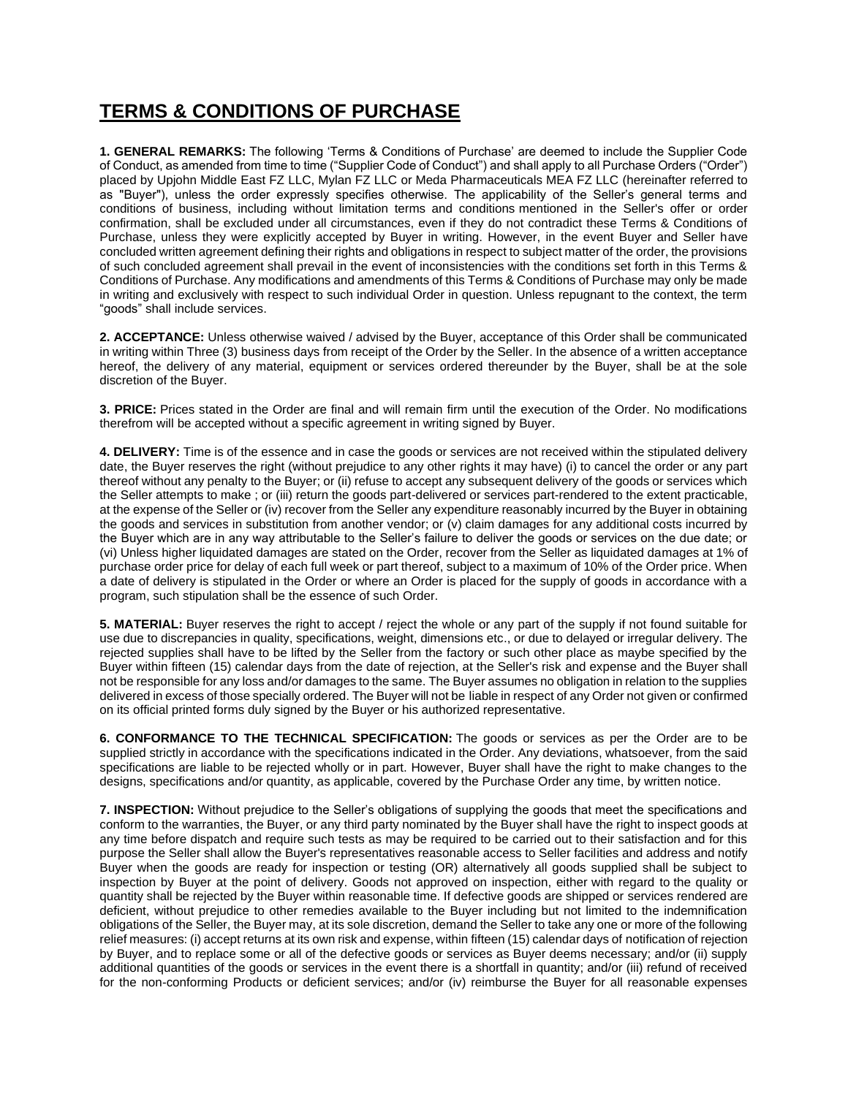## **TERMS & CONDITIONS OF PURCHASE**

**1. GENERAL REMARKS:** The following 'Terms & Conditions of Purchase' are deemed to include the Supplier Code of Conduct, as amended from time to time ("Supplier Code of Conduct") and shall apply to all Purchase Orders ("Order") placed by Upjohn Middle East FZ LLC, Mylan FZ LLC or Meda Pharmaceuticals MEA FZ LLC (hereinafter referred to as "Buyer"), unless the order expressly specifies otherwise. The applicability of the Seller's general terms and conditions of business, including without limitation terms and conditions mentioned in the Seller's offer or order confirmation, shall be excluded under all circumstances, even if they do not contradict these Terms & Conditions of Purchase, unless they were explicitly accepted by Buyer in writing. However, in the event Buyer and Seller have concluded written agreement defining their rights and obligations in respect to subject matter of the order, the provisions of such concluded agreement shall prevail in the event of inconsistencies with the conditions set forth in this Terms & Conditions of Purchase. Any modifications and amendments of this Terms & Conditions of Purchase may only be made in writing and exclusively with respect to such individual Order in question. Unless repugnant to the context, the term "goods" shall include services.

**2. ACCEPTANCE:** Unless otherwise waived / advised by the Buyer, acceptance of this Order shall be communicated in writing within Three (3) business days from receipt of the Order by the Seller. In the absence of a written acceptance hereof, the delivery of any material, equipment or services ordered thereunder by the Buyer, shall be at the sole discretion of the Buyer.

**3. PRICE:** Prices stated in the Order are final and will remain firm until the execution of the Order. No modifications therefrom will be accepted without a specific agreement in writing signed by Buyer.

**4. DELIVERY:** Time is of the essence and in case the goods or services are not received within the stipulated delivery date, the Buyer reserves the right (without prejudice to any other rights it may have) (i) to cancel the order or any part thereof without any penalty to the Buyer; or (ii) refuse to accept any subsequent delivery of the goods or services which the Seller attempts to make ; or (iii) return the goods part-delivered or services part-rendered to the extent practicable, at the expense of the Seller or (iv) recover from the Seller any expenditure reasonably incurred by the Buyer in obtaining the goods and services in substitution from another vendor; or (v) claim damages for any additional costs incurred by the Buyer which are in any way attributable to the Seller's failure to deliver the goods or services on the due date; or (vi) Unless higher liquidated damages are stated on the Order, recover from the Seller as liquidated damages at 1% of purchase order price for delay of each full week or part thereof, subject to a maximum of 10% of the Order price. When a date of delivery is stipulated in the Order or where an Order is placed for the supply of goods in accordance with a program, such stipulation shall be the essence of such Order.

**5. MATERIAL:** Buyer reserves the right to accept / reject the whole or any part of the supply if not found suitable for use due to discrepancies in quality, specifications, weight, dimensions etc., or due to delayed or irregular delivery. The rejected supplies shall have to be lifted by the Seller from the factory or such other place as maybe specified by the Buyer within fifteen (15) calendar days from the date of rejection, at the Seller's risk and expense and the Buyer shall not be responsible for any loss and/or damages to the same. The Buyer assumes no obligation in relation to the supplies delivered in excess of those specially ordered. The Buyer will not be liable in respect of any Order not given or confirmed on its official printed forms duly signed by the Buyer or his authorized representative.

**6. CONFORMANCE TO THE TECHNICAL SPECIFICATION:** The goods or services as per the Order are to be supplied strictly in accordance with the specifications indicated in the Order. Any deviations, whatsoever, from the said specifications are liable to be rejected wholly or in part. However, Buyer shall have the right to make changes to the designs, specifications and/or quantity, as applicable, covered by the Purchase Order any time, by written notice.

**7. INSPECTION:** Without prejudice to the Seller's obligations of supplying the goods that meet the specifications and conform to the warranties, the Buyer, or any third party nominated by the Buyer shall have the right to inspect goods at any time before dispatch and require such tests as may be required to be carried out to their satisfaction and for this purpose the Seller shall allow the Buyer's representatives reasonable access to Seller facilities and address and notify Buyer when the goods are ready for inspection or testing (OR) alternatively all goods supplied shall be subject to inspection by Buyer at the point of delivery. Goods not approved on inspection, either with regard to the quality or quantity shall be rejected by the Buyer within reasonable time. If defective goods are shipped or services rendered are deficient, without prejudice to other remedies available to the Buyer including but not limited to the indemnification obligations of the Seller, the Buyer may, at its sole discretion, demand the Seller to take any one or more of the following relief measures: (i) accept returns at its own risk and expense, within fifteen (15) calendar days of notification of rejection by Buyer, and to replace some or all of the defective goods or services as Buyer deems necessary; and/or (ii) supply additional quantities of the goods or services in the event there is a shortfall in quantity; and/or (iii) refund of received for the non-conforming Products or deficient services; and/or (iv) reimburse the Buyer for all reasonable expenses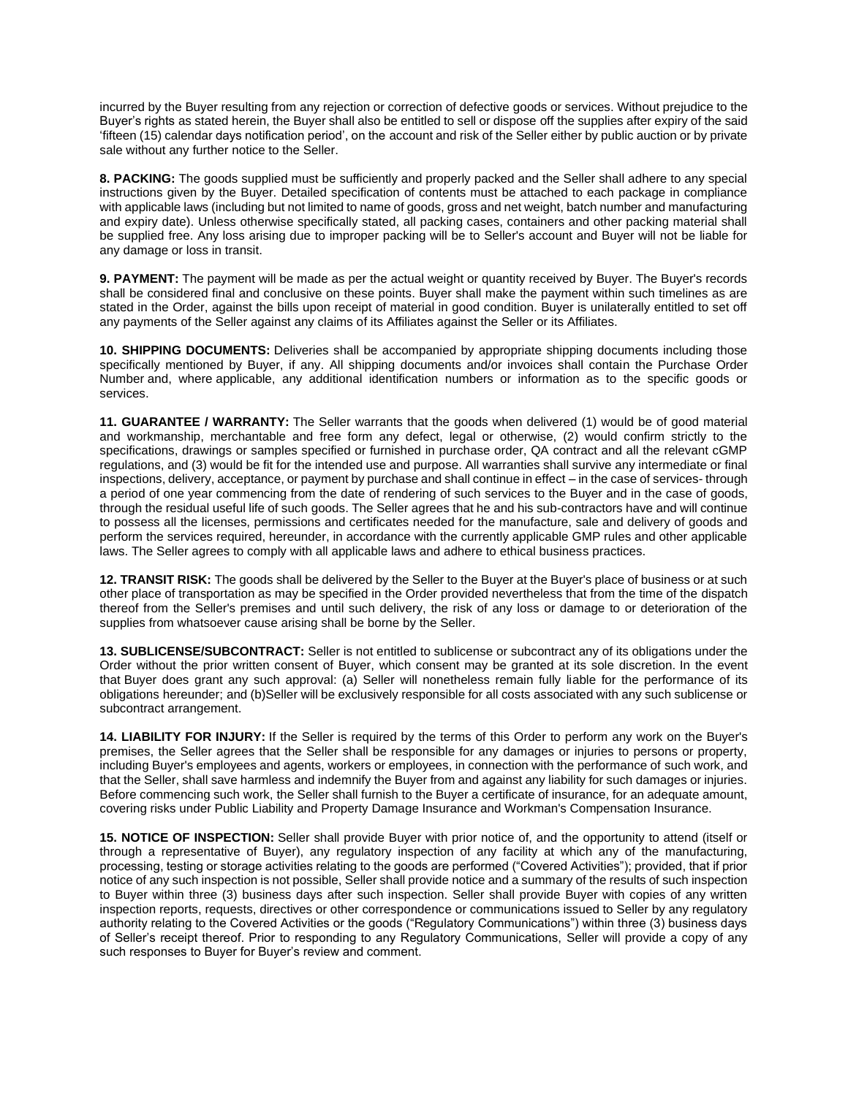incurred by the Buyer resulting from any rejection or correction of defective goods or services. Without prejudice to the Buyer's rights as stated herein, the Buyer shall also be entitled to sell or dispose off the supplies after expiry of the said 'fifteen (15) calendar days notification period', on the account and risk of the Seller either by public auction or by private sale without any further notice to the Seller.

**8. PACKING:** The goods supplied must be sufficiently and properly packed and the Seller shall adhere to any special instructions given by the Buyer. Detailed specification of contents must be attached to each package in compliance with applicable laws (including but not limited to name of goods, gross and net weight, batch number and manufacturing and expiry date). Unless otherwise specifically stated, all packing cases, containers and other packing material shall be supplied free. Any loss arising due to improper packing will be to Seller's account and Buyer will not be liable for any damage or loss in transit.

**9. PAYMENT:** The payment will be made as per the actual weight or quantity received by Buyer. The Buyer's records shall be considered final and conclusive on these points. Buyer shall make the payment within such timelines as are stated in the Order, against the bills upon receipt of material in good condition. Buyer is unilaterally entitled to set off any payments of the Seller against any claims of its Affiliates against the Seller or its Affiliates.

**10. SHIPPING DOCUMENTS:** Deliveries shall be accompanied by appropriate shipping documents including those specifically mentioned by Buyer, if any. All shipping documents and/or invoices shall contain the Purchase Order Number and, where applicable, any additional identification numbers or information as to the specific goods or services.

**11. GUARANTEE / WARRANTY:** The Seller warrants that the goods when delivered (1) would be of good material and workmanship, merchantable and free form any defect, legal or otherwise, (2) would confirm strictly to the specifications, drawings or samples specified or furnished in purchase order, QA contract and all the relevant cGMP regulations, and (3) would be fit for the intended use and purpose. All warranties shall survive any intermediate or final inspections, delivery, acceptance, or payment by purchase and shall continue in effect – in the case of services- through a period of one year commencing from the date of rendering of such services to the Buyer and in the case of goods, through the residual useful life of such goods. The Seller agrees that he and his sub-contractors have and will continue to possess all the licenses, permissions and certificates needed for the manufacture, sale and delivery of goods and perform the services required, hereunder, in accordance with the currently applicable GMP rules and other applicable laws. The Seller agrees to comply with all applicable laws and adhere to ethical business practices.

**12. TRANSIT RISK:** The goods shall be delivered by the Seller to the Buyer at the Buyer's place of business or at such other place of transportation as may be specified in the Order provided nevertheless that from the time of the dispatch thereof from the Seller's premises and until such delivery, the risk of any loss or damage to or deterioration of the supplies from whatsoever cause arising shall be borne by the Seller.

**13. SUBLICENSE/SUBCONTRACT:** Seller is not entitled to sublicense or subcontract any of its obligations under the Order without the prior written consent of Buyer, which consent may be granted at its sole discretion. In the event that Buyer does grant any such approval: (a) Seller will nonetheless remain fully liable for the performance of its obligations hereunder; and (b)Seller will be exclusively responsible for all costs associated with any such sublicense or subcontract arrangement.

**14. LIABILITY FOR INJURY:** If the Seller is required by the terms of this Order to perform any work on the Buyer's premises, the Seller agrees that the Seller shall be responsible for any damages or injuries to persons or property, including Buyer's employees and agents, workers or employees, in connection with the performance of such work, and that the Seller, shall save harmless and indemnify the Buyer from and against any liability for such damages or injuries. Before commencing such work, the Seller shall furnish to the Buyer a certificate of insurance, for an adequate amount, covering risks under Public Liability and Property Damage Insurance and Workman's Compensation Insurance.

**15. NOTICE OF INSPECTION:** Seller shall provide Buyer with prior notice of, and the opportunity to attend (itself or through a representative of Buyer), any regulatory inspection of any facility at which any of the manufacturing, processing, testing or storage activities relating to the goods are performed ("Covered Activities"); provided, that if prior notice of any such inspection is not possible, Seller shall provide notice and a summary of the results of such inspection to Buyer within three (3) business days after such inspection. Seller shall provide Buyer with copies of any written inspection reports, requests, directives or other correspondence or communications issued to Seller by any regulatory authority relating to the Covered Activities or the goods ("Regulatory Communications") within three (3) business days of Seller's receipt thereof. Prior to responding to any Regulatory Communications, Seller will provide a copy of any such responses to Buyer for Buyer's review and comment.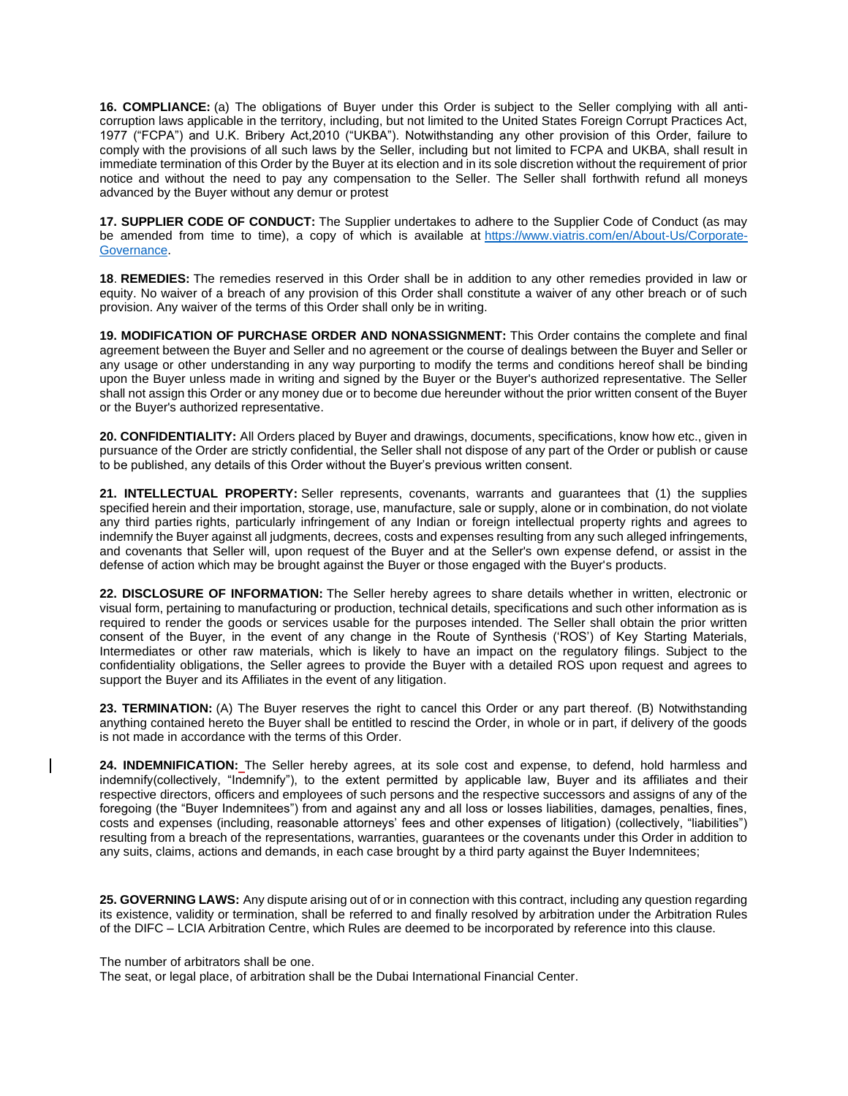**16. COMPLIANCE:** (a) The obligations of Buyer under this Order is subject to the Seller complying with all anticorruption laws applicable in the territory, including, but not limited to the United States Foreign Corrupt Practices Act, 1977 ("FCPA") and U.K. Bribery Act,2010 ("UKBA"). Notwithstanding any other provision of this Order, failure to comply with the provisions of all such laws by the Seller, including but not limited to FCPA and UKBA, shall result in immediate termination of this Order by the Buyer at its election and in its sole discretion without the requirement of prior notice and without the need to pay any compensation to the Seller. The Seller shall forthwith refund all moneys advanced by the Buyer without any demur or protest

**17. SUPPLIER CODE OF CONDUCT:** The Supplier undertakes to adhere to the Supplier Code of Conduct (as may be amended from time to time), a copy of which is available at [https://www.viatris.com/en/About-Us/Corporate-](https://www.viatris.com/en/About-Us/Corporate-Governance)[Governance.](https://www.viatris.com/en/About-Us/Corporate-Governance)

**18**. **REMEDIES:** The remedies reserved in this Order shall be in addition to any other remedies provided in law or equity. No waiver of a breach of any provision of this Order shall constitute a waiver of any other breach or of such provision. Any waiver of the terms of this Order shall only be in writing.

**19. MODIFICATION OF PURCHASE ORDER AND NONASSIGNMENT:** This Order contains the complete and final agreement between the Buyer and Seller and no agreement or the course of dealings between the Buyer and Seller or any usage or other understanding in any way purporting to modify the terms and conditions hereof shall be binding upon the Buyer unless made in writing and signed by the Buyer or the Buyer's authorized representative. The Seller shall not assign this Order or any money due or to become due hereunder without the prior written consent of the Buyer or the Buyer's authorized representative.

**20. CONFIDENTIALITY:** All Orders placed by Buyer and drawings, documents, specifications, know how etc., given in pursuance of the Order are strictly confidential, the Seller shall not dispose of any part of the Order or publish or cause to be published, any details of this Order without the Buyer's previous written consent.

**21. INTELLECTUAL PROPERTY:** Seller represents, covenants, warrants and guarantees that (1) the supplies specified herein and their importation, storage, use, manufacture, sale or supply, alone or in combination, do not violate any third parties rights, particularly infringement of any Indian or foreign intellectual property rights and agrees to indemnify the Buyer against all judgments, decrees, costs and expenses resulting from any such alleged infringements, and covenants that Seller will, upon request of the Buyer and at the Seller's own expense defend, or assist in the defense of action which may be brought against the Buyer or those engaged with the Buyer's products.

**22. DISCLOSURE OF INFORMATION:** The Seller hereby agrees to share details whether in written, electronic or visual form, pertaining to manufacturing or production, technical details, specifications and such other information as is required to render the goods or services usable for the purposes intended. The Seller shall obtain the prior written consent of the Buyer, in the event of any change in the Route of Synthesis ('ROS') of Key Starting Materials, Intermediates or other raw materials, which is likely to have an impact on the regulatory filings. Subject to the confidentiality obligations, the Seller agrees to provide the Buyer with a detailed ROS upon request and agrees to support the Buyer and its Affiliates in the event of any litigation.

**23. TERMINATION:** (A) The Buyer reserves the right to cancel this Order or any part thereof. (B) Notwithstanding anything contained hereto the Buyer shall be entitled to rescind the Order, in whole or in part, if delivery of the goods is not made in accordance with the terms of this Order.

**24. INDEMNIFICATION:** The Seller hereby agrees, at its sole cost and expense, to defend, hold harmless and indemnify(collectively, "Indemnify"), to the extent permitted by applicable law, Buyer and its affiliates and their respective directors, officers and employees of such persons and the respective successors and assigns of any of the foregoing (the "Buyer Indemnitees") from and against any and all loss or losses liabilities, damages, penalties, fines, costs and expenses (including, reasonable attorneys' fees and other expenses of litigation) (collectively, "liabilities") resulting from a breach of the representations, warranties, guarantees or the covenants under this Order in addition to any suits, claims, actions and demands, in each case brought by a third party against the Buyer Indemnitees;

**25. GOVERNING LAWS:** Any dispute arising out of or in connection with this contract, including any question regarding its existence, validity or termination, shall be referred to and finally resolved by arbitration under the Arbitration Rules of the DIFC – LCIA Arbitration Centre, which Rules are deemed to be incorporated by reference into this clause.

The number of arbitrators shall be one.

The seat, or legal place, of arbitration shall be the Dubai International Financial Center.